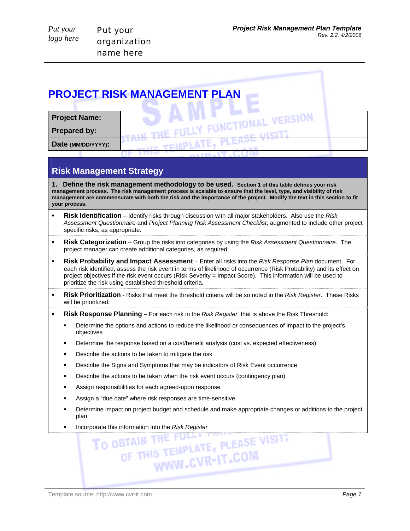| <b>Project Name:</b><br><b>Prepared by:</b> |                    | <b>PROJECT RISK MANAGEMENT PLAN</b> |  |
|---------------------------------------------|--------------------|-------------------------------------|--|
|                                             |                    |                                     |  |
|                                             |                    |                                     |  |
|                                             | Date (MM/DD/YYYY): |                                     |  |

## **Risk Management Strategy**

**1. Define the risk management methodology to be used. Section 1 of this table defines your risk management process. The risk management process is scalable to ensure that the level, type, and visibility of risk management are commensurate with both the risk and the importance of the project. Modify the text in this section to fit your process.**

- **Risk Identification** Identify risks through discussion with all major stakeholders. Also use the *Risk Assessment Questionnaire* and *Project Planning Risk Assessment Checklist*, augmented to include other project specific risks, as appropriate.
- **Risk Categorization** Group the risks into categories by using the *Risk Assessment Questionnaire*. The project manager can create additional categories, as required.
- **Risk Probability and Impact Assessment** Enter all risks into the *Risk Response Plan* document. For each risk identified, assess the risk event in terms of likelihood of occurrence (Risk Probability) and its effect on project objectives if the risk event occurs (Risk Severity = Impact Score). This information will be used to prioritize the risk using established threshold criteria.
- **Risk Prioritization** Risks that meet the threshold criteria will be so noted in the *Risk Register*. These Risks will be prioritized.
- **Risk Response Planning** For each risk in the *Risk Register* that is above the Risk Threshold:
	- Determine the options and actions to reduce the likelihood or consequences of impact to the project's objectives
	- Determine the response based on a cost/benefit analysis (cost vs. expected effectiveness)
	- Describe the actions to be taken to mitigate the risk
	- Describe the Signs and Symptoms that may be indicators of Risk Event occurrence
	- **Describe the actions to be taken when the risk event occurs (contingency plan)**
	- **Assign responsibilities for each agreed-upon response**
	- Assign a "due date" where risk responses are time-sensitive
	- Determine impact on project budget and schedule and make appropriate changes or additions to the project plan.
	-

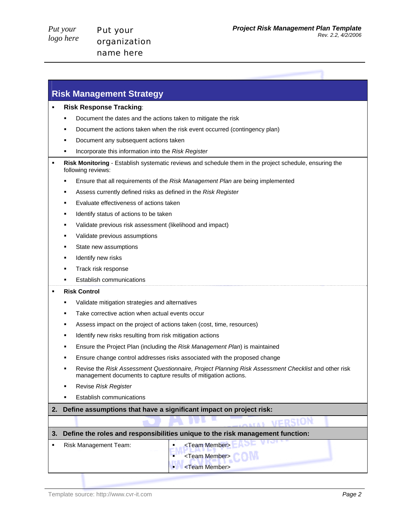## **Risk Management Strategy**

- **Risk Response Tracking**:
	- Document the dates and the actions taken to mitigate the risk
	- Document the actions taken when the risk event occurred (contingency plan)
	- **Document any subsequent actions taken**
	- Incorporate this information into the *Risk Register*
- **Risk Monitoring**  Establish systematic reviews and schedule them in the project schedule, ensuring the following reviews:
	- Ensure that all requirements of the *Risk Management Plan* are being implemented
	- Assess currently defined risks as defined in the *Risk Register*
	- **Evaluate effectiveness of actions taken**
	- **IDENTIFY STATUS OF ACTIONS TO be taken**
	- Validate previous risk assessment (likelihood and impact)
	- **Validate previous assumptions**
	- **State new assumptions**
	- **IDENTIFY NEW risks**
	- Track risk response
	- Establish communications

## **Risk Control**

- Validate mitigation strategies and alternatives
- Take corrective action when actual events occur
- Assess impact on the project of actions taken (cost, time, resources)
- **IDENTIFY 19 Incording in the Induction State is a light in the Incording 10** Identify new risks results and identify
- Ensure the Project Plan (including the *Risk Management Plan*) is maintained
- **Ensure change control addresses risks associated with the proposed change**
- Revise the *Risk Assessment Questionnaire, Project Planning Risk Assessment Checklist* and other risk management documents to capture results of mitigation actions.
- Revise *Risk Register*
- Establish communications
- **2. Define assumptions that have a significant impact on project risk:**

## **3. Define the roles and responsibilities unique to the risk management function:**

| Risk Management Team: | <team member=""></team> |
|-----------------------|-------------------------|
|                       | <team member=""></team> |
|                       | <team member=""></team> |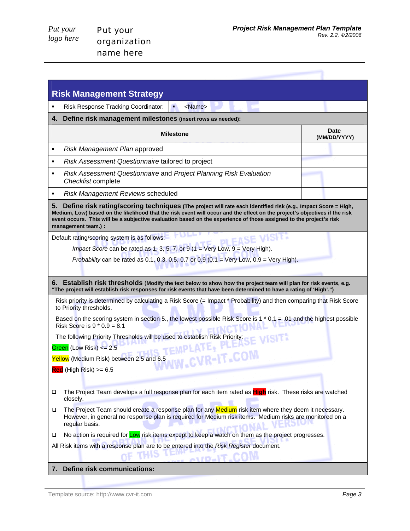name here

| <b>Risk Management Strategy</b>                                                                                                                                                                                                                                                                                                                                                                |                             |  |  |  |  |
|------------------------------------------------------------------------------------------------------------------------------------------------------------------------------------------------------------------------------------------------------------------------------------------------------------------------------------------------------------------------------------------------|-----------------------------|--|--|--|--|
| Risk Response Tracking Coordinator:<br><name><br/>п</name>                                                                                                                                                                                                                                                                                                                                     |                             |  |  |  |  |
| Define risk management milestones (insert rows as needed):<br>4.                                                                                                                                                                                                                                                                                                                               |                             |  |  |  |  |
| Milestone                                                                                                                                                                                                                                                                                                                                                                                      | <b>Date</b><br>(MM/DD/YYYY) |  |  |  |  |
| Risk Management Plan approved<br>٠                                                                                                                                                                                                                                                                                                                                                             |                             |  |  |  |  |
| Risk Assessment Questionnaire tailored to project<br>٠                                                                                                                                                                                                                                                                                                                                         |                             |  |  |  |  |
| Risk Assessment Questionnaire and Project Planning Risk Evaluation<br>٠<br>Checklist complete                                                                                                                                                                                                                                                                                                  |                             |  |  |  |  |
| Risk Management Reviews scheduled<br>٠                                                                                                                                                                                                                                                                                                                                                         |                             |  |  |  |  |
| Define risk rating/scoring techniques (The project will rate each identified risk (e.g., Impact Score = High,<br>5.<br>Medium, Low) based on the likelihood that the risk event will occur and the effect on the project's objectives if the risk<br>event occurs. This will be a subjective evaluation based on the experience of those assigned to the project's risk<br>management team.) : |                             |  |  |  |  |
| VISIT.<br>Default rating/scoring system is as follows:                                                                                                                                                                                                                                                                                                                                         |                             |  |  |  |  |
| <i>Impact Score</i> can be rated as 1, 3, 5, 7, or 9 ( $1 = \text{Very Low}, 9 = \text{Very High}$ ).                                                                                                                                                                                                                                                                                          |                             |  |  |  |  |
| Probability can be rated as 0.1, 0.3, 0.5, 0.7 or 0.9 (0.1 = Very Low, 0.9 = Very High).                                                                                                                                                                                                                                                                                                       |                             |  |  |  |  |
| 6. Establish risk thresholds (Modify the text below to show how the project team will plan for risk events, e.g.<br>"The project will establish risk responses for risk events that have been determined to have a rating of 'High'.")                                                                                                                                                         |                             |  |  |  |  |
| Risk priority is determined by calculating a Risk Score (= Impact * Probability) and then comparing that Risk Score<br>to Priority thresholds.                                                                                                                                                                                                                                                 |                             |  |  |  |  |
| Based on the scoring system in section 5., the lowest possible Risk Score is 1 $*$ 0.1 = .01 and the highest possible<br>Risk Score is $9 * 0.9 = 8.1$                                                                                                                                                                                                                                         |                             |  |  |  |  |
|                                                                                                                                                                                                                                                                                                                                                                                                |                             |  |  |  |  |
| The following Priority Thresholds will be used to establish Risk Priority: $\frac{1}{2}$ WISIT.<br>Green (Low Risk) $\leq$ 2.5                                                                                                                                                                                                                                                                 |                             |  |  |  |  |
| W.CVR-IT.COM<br>Yellow (Medium Risk) between 2.5 and 6.5                                                                                                                                                                                                                                                                                                                                       |                             |  |  |  |  |
| $Red$ (High Risk) >= 6.5                                                                                                                                                                                                                                                                                                                                                                       |                             |  |  |  |  |
| The Project Team develops a full response plan for each item rated as High risk. These risks are watched<br>□<br>closely.                                                                                                                                                                                                                                                                      |                             |  |  |  |  |
| The Project Team should create a response plan for any Medium risk item where they deem it necessary.<br>❏<br>However, in general no response plan is required for Medium risk items. Medium risks are monitored on a<br>regular basis.                                                                                                                                                        |                             |  |  |  |  |
| No action is required for Low risk items except to keep a watch on them as the project progresses.<br>□                                                                                                                                                                                                                                                                                        |                             |  |  |  |  |
| All Risk items with a response plan are to be entered into the Risk Register document.<br><b>ATTO</b>                                                                                                                                                                                                                                                                                          |                             |  |  |  |  |
|                                                                                                                                                                                                                                                                                                                                                                                                |                             |  |  |  |  |

Template source: http://www.cvr-it.com *Page 3*